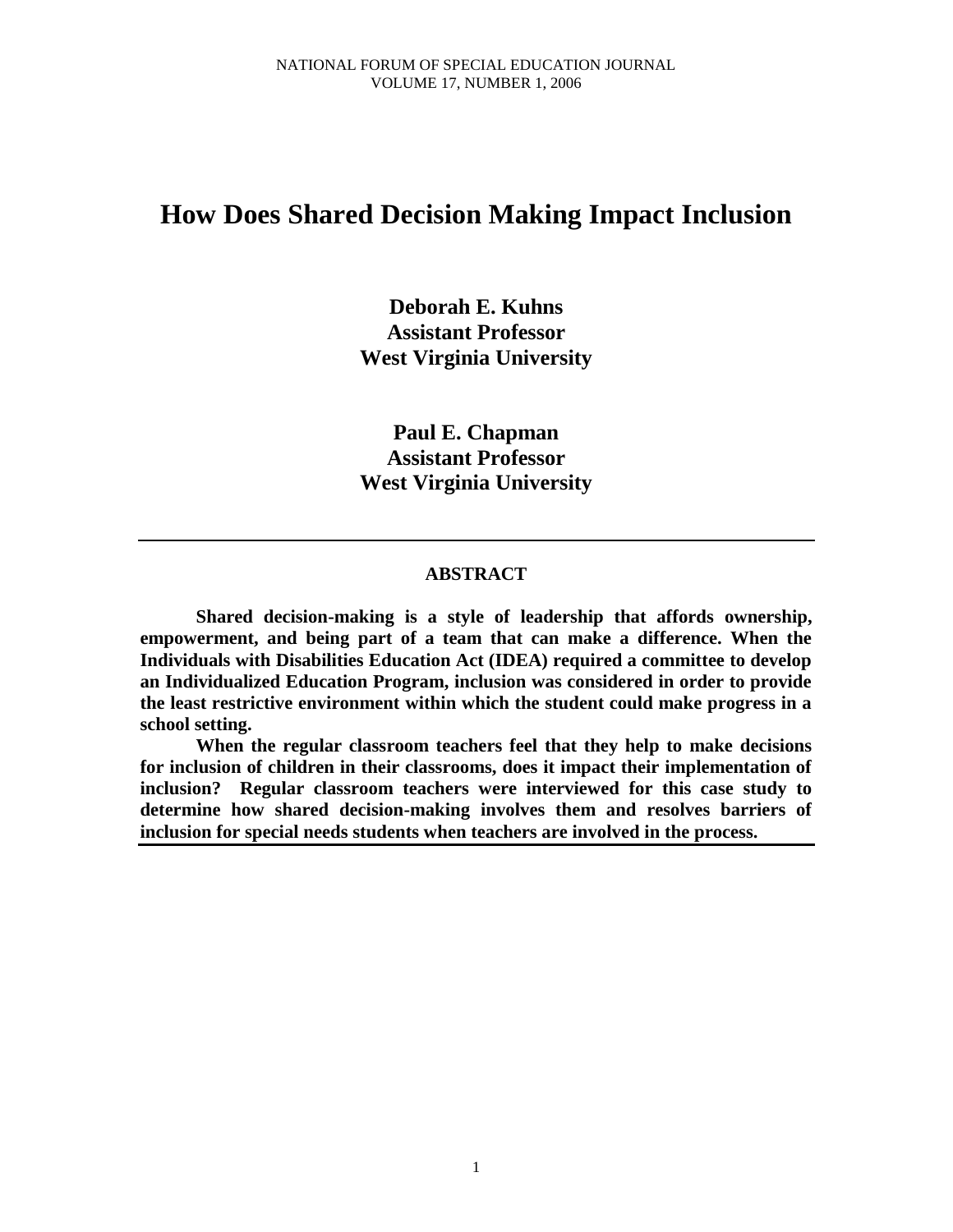# **How Does Shared Decision Making Impact Inclusion**

**Deborah E. Kuhns Assistant Professor West Virginia University**

**Paul E. Chapman Assistant Professor West Virginia University** 

### **ABSTRACT**

**Shared decision-making is a style of leadership that affords ownership, empowerment, and being part of a team that can make a difference. When the Individuals with Disabilities Education Act (IDEA) required a committee to develop an Individualized Education Program, inclusion was considered in order to provide the least restrictive environment within which the student could make progress in a school setting.** 

**When the regular classroom teachers feel that they help to make decisions for inclusion of children in their classrooms, does it impact their implementation of inclusion? Regular classroom teachers were interviewed for this case study to determine how shared decision-making involves them and resolves barriers of inclusion for special needs students when teachers are involved in the process.**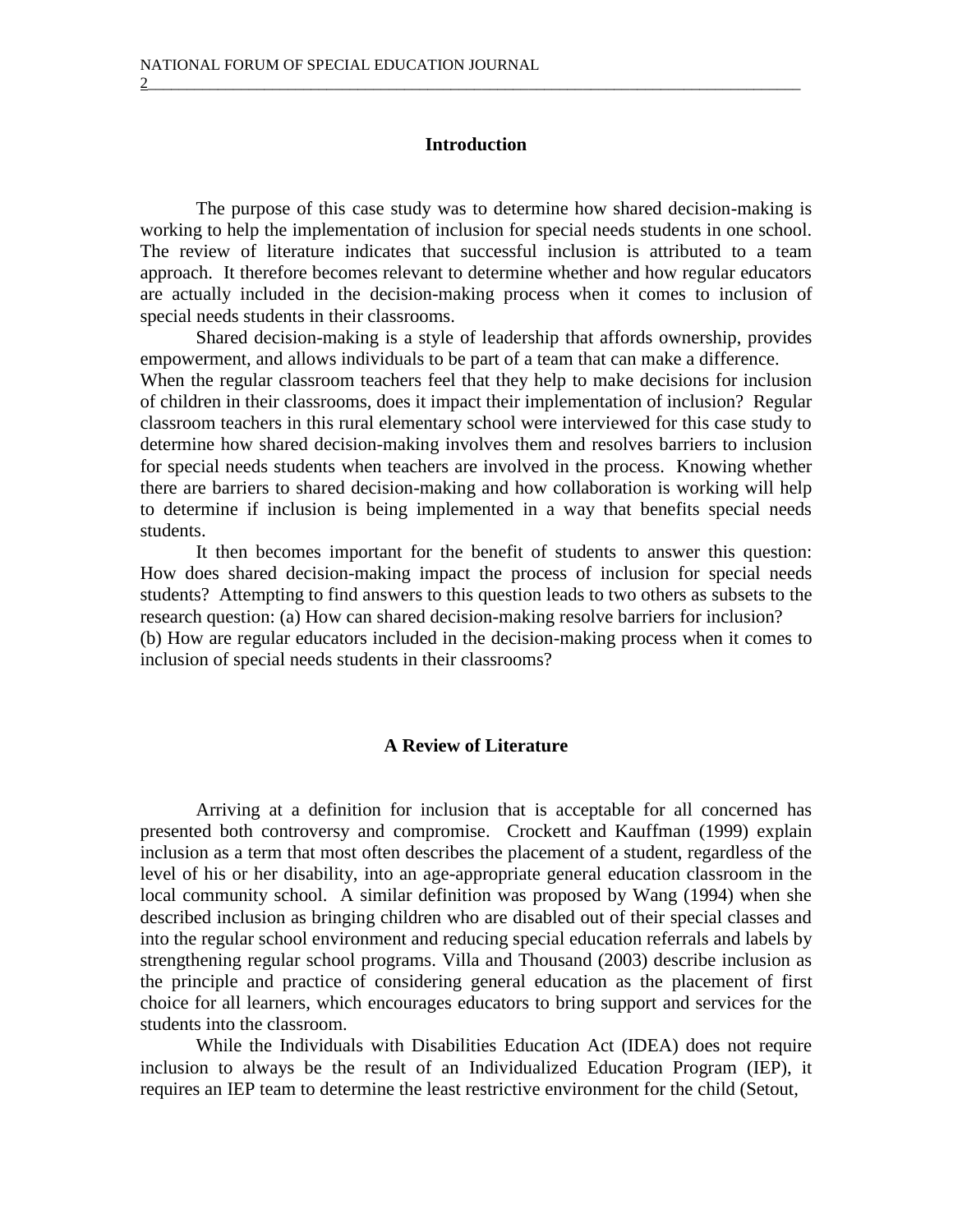### **Introduction**

2\_\_\_\_\_\_\_\_\_\_\_\_\_\_\_\_\_\_\_\_\_\_\_\_\_\_\_\_\_\_\_\_\_\_\_\_\_\_\_\_\_\_\_\_\_\_\_\_\_\_\_\_\_\_\_\_\_\_\_\_\_\_\_\_\_\_\_\_\_\_\_\_\_\_\_\_\_\_\_\_\_\_\_\_

The purpose of this case study was to determine how shared decision-making is working to help the implementation of inclusion for special needs students in one school. The review of literature indicates that successful inclusion is attributed to a team approach. It therefore becomes relevant to determine whether and how regular educators are actually included in the decision-making process when it comes to inclusion of special needs students in their classrooms.

Shared decision-making is a style of leadership that affords ownership, provides empowerment, and allows individuals to be part of a team that can make a difference. When the regular classroom teachers feel that they help to make decisions for inclusion of children in their classrooms, does it impact their implementation of inclusion? Regular classroom teachers in this rural elementary school were interviewed for this case study to determine how shared decision-making involves them and resolves barriers to inclusion for special needs students when teachers are involved in the process. Knowing whether there are barriers to shared decision-making and how collaboration is working will help to determine if inclusion is being implemented in a way that benefits special needs students.

It then becomes important for the benefit of students to answer this question: How does shared decision-making impact the process of inclusion for special needs students? Attempting to find answers to this question leads to two others as subsets to the research question: (a) How can shared decision-making resolve barriers for inclusion? (b) How are regular educators included in the decision-making process when it comes to inclusion of special needs students in their classrooms?

### **A Review of Literature**

Arriving at a definition for inclusion that is acceptable for all concerned has presented both controversy and compromise. Crockett and Kauffman (1999) explain inclusion as a term that most often describes the placement of a student, regardless of the level of his or her disability, into an age-appropriate general education classroom in the local community school. A similar definition was proposed by Wang (1994) when she described inclusion as bringing children who are disabled out of their special classes and into the regular school environment and reducing special education referrals and labels by strengthening regular school programs. Villa and Thousand (2003) describe inclusion as the principle and practice of considering general education as the placement of first choice for all learners, which encourages educators to bring support and services for the students into the classroom.

While the Individuals with Disabilities Education Act (IDEA) does not require inclusion to always be the result of an Individualized Education Program (IEP), it requires an IEP team to determine the least restrictive environment for the child (Setout,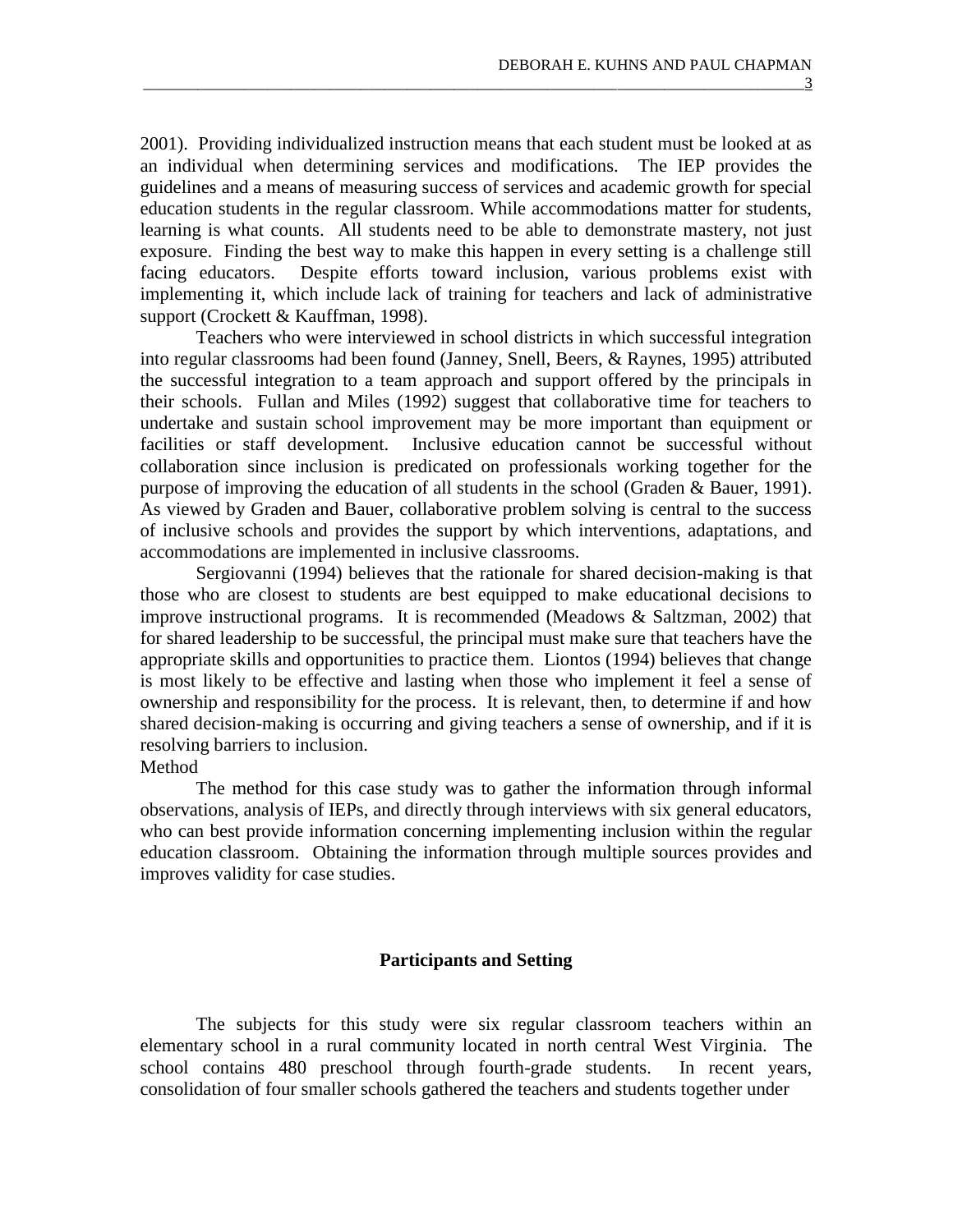2001). Providing individualized instruction means that each student must be looked at as an individual when determining services and modifications. The IEP provides the guidelines and a means of measuring success of services and academic growth for special education students in the regular classroom. While accommodations matter for students, learning is what counts. All students need to be able to demonstrate mastery, not just exposure. Finding the best way to make this happen in every setting is a challenge still facing educators. Despite efforts toward inclusion, various problems exist with implementing it, which include lack of training for teachers and lack of administrative support (Crockett & Kauffman, 1998).

Teachers who were interviewed in school districts in which successful integration into regular classrooms had been found (Janney, Snell, Beers, & Raynes, 1995) attributed the successful integration to a team approach and support offered by the principals in their schools. Fullan and Miles (1992) suggest that collaborative time for teachers to undertake and sustain school improvement may be more important than equipment or facilities or staff development. Inclusive education cannot be successful without collaboration since inclusion is predicated on professionals working together for the purpose of improving the education of all students in the school (Graden & Bauer, 1991). As viewed by Graden and Bauer, collaborative problem solving is central to the success of inclusive schools and provides the support by which interventions, adaptations, and accommodations are implemented in inclusive classrooms.

Sergiovanni (1994) believes that the rationale for shared decision-making is that those who are closest to students are best equipped to make educational decisions to improve instructional programs. It is recommended (Meadows & Saltzman, 2002) that for shared leadership to be successful, the principal must make sure that teachers have the appropriate skills and opportunities to practice them. Liontos (1994) believes that change is most likely to be effective and lasting when those who implement it feel a sense of ownership and responsibility for the process. It is relevant, then, to determine if and how shared decision-making is occurring and giving teachers a sense of ownership, and if it is resolving barriers to inclusion.

#### Method

The method for this case study was to gather the information through informal observations, analysis of IEPs, and directly through interviews with six general educators, who can best provide information concerning implementing inclusion within the regular education classroom. Obtaining the information through multiple sources provides and improves validity for case studies.

### **Participants and Setting**

The subjects for this study were six regular classroom teachers within an elementary school in a rural community located in north central West Virginia. The school contains 480 preschool through fourth-grade students. In recent years, consolidation of four smaller schools gathered the teachers and students together under

\_\_\_\_\_\_\_\_\_\_\_\_\_\_\_\_\_\_\_\_\_\_\_\_\_\_\_\_\_\_\_\_\_\_\_\_\_\_\_\_\_\_\_\_\_\_\_\_\_\_\_\_\_\_\_\_\_\_\_\_\_\_\_\_\_\_\_\_\_\_\_\_\_\_\_\_\_\_\_\_\_\_\_\_\_3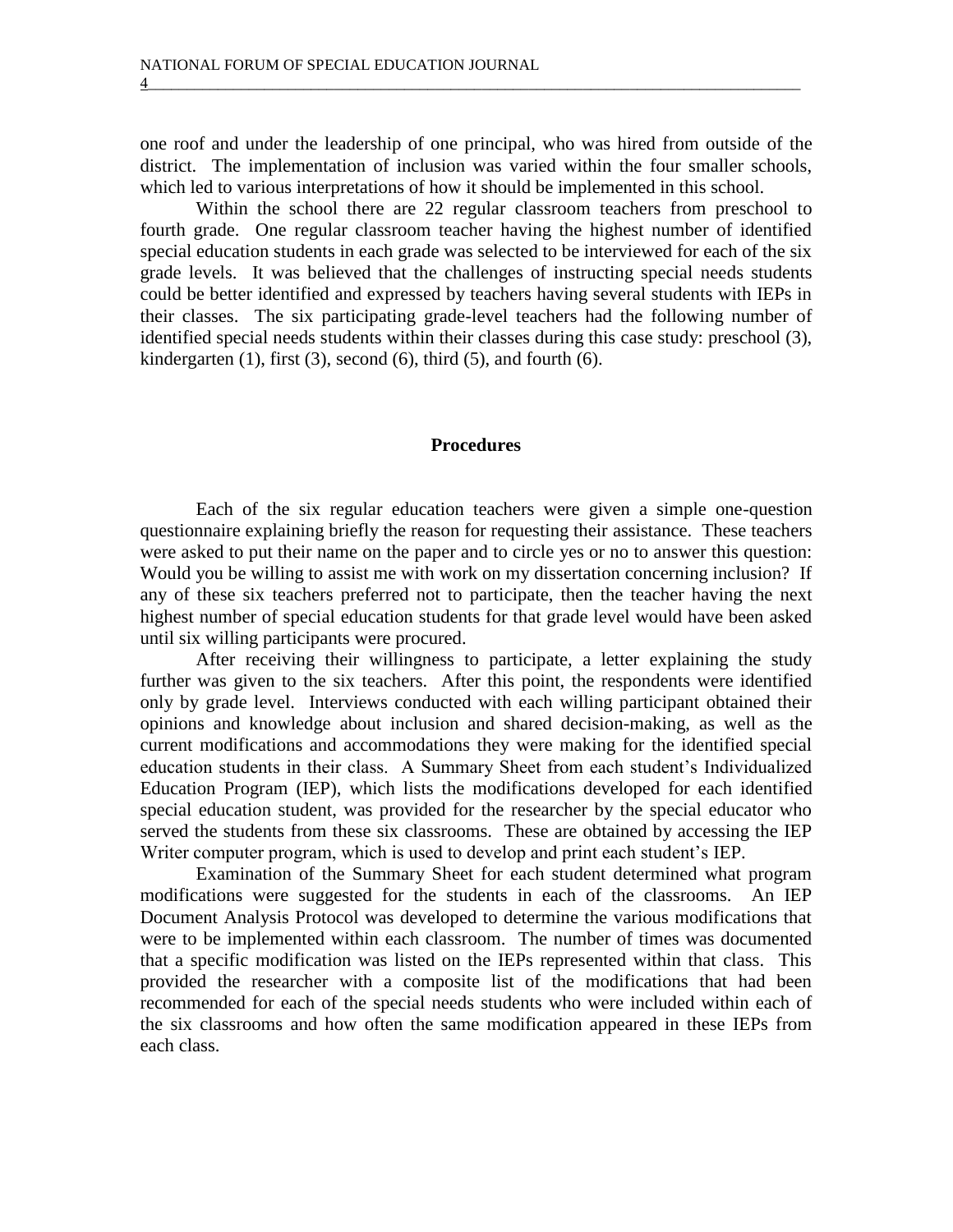one roof and under the leadership of one principal, who was hired from outside of the district. The implementation of inclusion was varied within the four smaller schools, which led to various interpretations of how it should be implemented in this school.

Within the school there are 22 regular classroom teachers from preschool to fourth grade. One regular classroom teacher having the highest number of identified special education students in each grade was selected to be interviewed for each of the six grade levels. It was believed that the challenges of instructing special needs students could be better identified and expressed by teachers having several students with IEPs in their classes. The six participating grade-level teachers had the following number of identified special needs students within their classes during this case study: preschool (3), kindergarten  $(1)$ , first  $(3)$ , second  $(6)$ , third  $(5)$ , and fourth  $(6)$ .

#### **Procedures**

Each of the six regular education teachers were given a simple one-question questionnaire explaining briefly the reason for requesting their assistance. These teachers were asked to put their name on the paper and to circle yes or no to answer this question: Would you be willing to assist me with work on my dissertation concerning inclusion? If any of these six teachers preferred not to participate, then the teacher having the next highest number of special education students for that grade level would have been asked until six willing participants were procured.

After receiving their willingness to participate, a letter explaining the study further was given to the six teachers. After this point, the respondents were identified only by grade level. Interviews conducted with each willing participant obtained their opinions and knowledge about inclusion and shared decision-making, as well as the current modifications and accommodations they were making for the identified special education students in their class. A Summary Sheet from each student's Individualized Education Program (IEP), which lists the modifications developed for each identified special education student, was provided for the researcher by the special educator who served the students from these six classrooms. These are obtained by accessing the IEP Writer computer program, which is used to develop and print each student's IEP.

Examination of the Summary Sheet for each student determined what program modifications were suggested for the students in each of the classrooms. An IEP Document Analysis Protocol was developed to determine the various modifications that were to be implemented within each classroom. The number of times was documented that a specific modification was listed on the IEPs represented within that class. This provided the researcher with a composite list of the modifications that had been recommended for each of the special needs students who were included within each of the six classrooms and how often the same modification appeared in these IEPs from each class.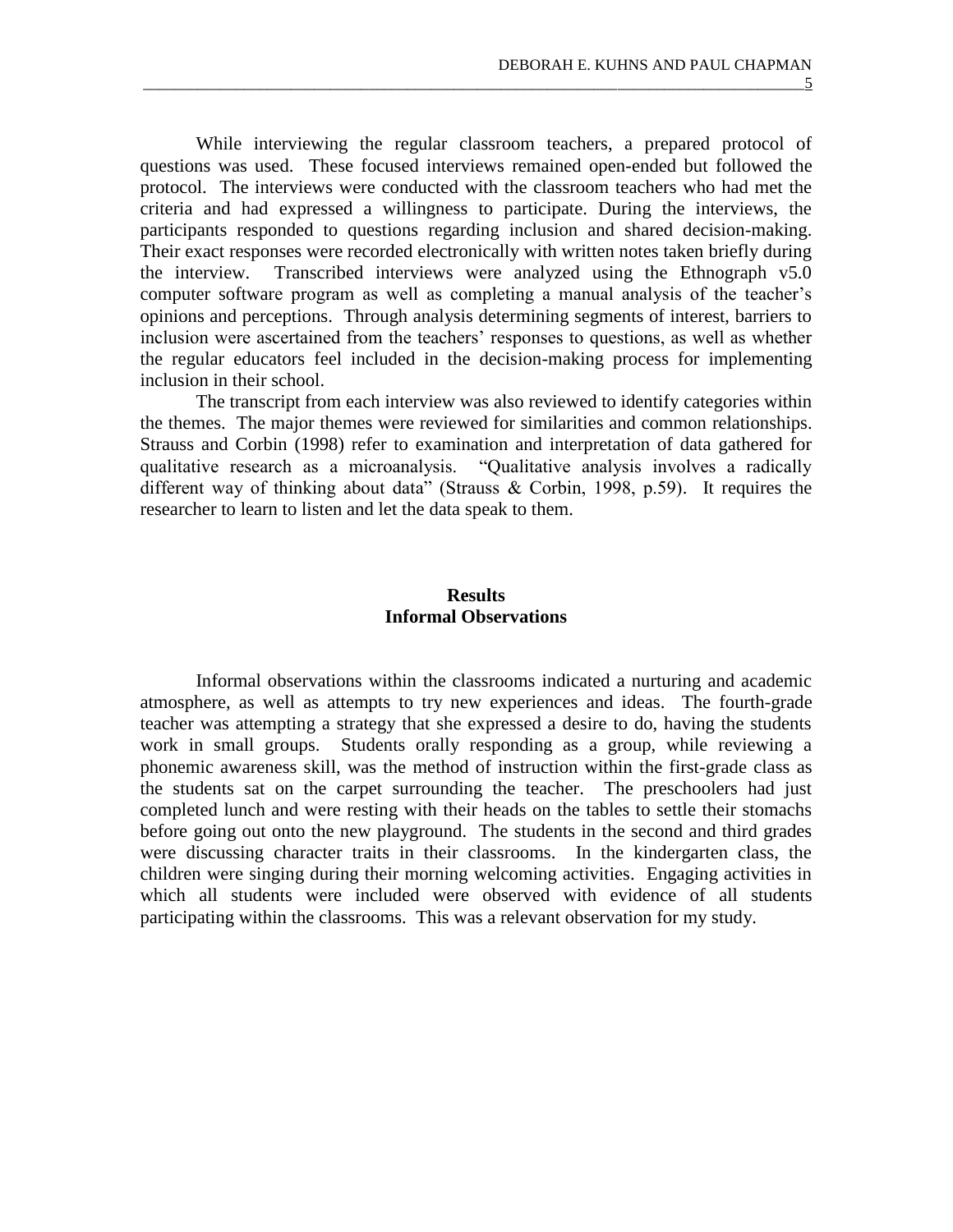While interviewing the regular classroom teachers, a prepared protocol of questions was used. These focused interviews remained open-ended but followed the protocol. The interviews were conducted with the classroom teachers who had met the criteria and had expressed a willingness to participate. During the interviews, the participants responded to questions regarding inclusion and shared decision-making. Their exact responses were recorded electronically with written notes taken briefly during the interview. Transcribed interviews were analyzed using the Ethnograph v5.0 computer software program as well as completing a manual analysis of the teacher's opinions and perceptions. Through analysis determining segments of interest, barriers to inclusion were ascertained from the teachers' responses to questions, as well as whether the regular educators feel included in the decision-making process for implementing inclusion in their school.

\_\_\_\_\_\_\_\_\_\_\_\_\_\_\_\_\_\_\_\_\_\_\_\_\_\_\_\_\_\_\_\_\_\_\_\_\_\_\_\_\_\_\_\_\_\_\_\_\_\_\_\_\_\_\_\_\_\_\_\_\_\_\_\_\_\_\_\_\_\_\_\_\_\_\_\_\_\_\_\_\_\_\_\_\_5

The transcript from each interview was also reviewed to identify categories within the themes. The major themes were reviewed for similarities and common relationships. Strauss and Corbin (1998) refer to examination and interpretation of data gathered for qualitative research as a microanalysis. "Qualitative analysis involves a radically different way of thinking about data" (Strauss & Corbin, 1998, p.59). It requires the researcher to learn to listen and let the data speak to them.

## **Results Informal Observations**

Informal observations within the classrooms indicated a nurturing and academic atmosphere, as well as attempts to try new experiences and ideas. The fourth-grade teacher was attempting a strategy that she expressed a desire to do, having the students work in small groups. Students orally responding as a group, while reviewing a phonemic awareness skill, was the method of instruction within the first-grade class as the students sat on the carpet surrounding the teacher. The preschoolers had just completed lunch and were resting with their heads on the tables to settle their stomachs before going out onto the new playground. The students in the second and third grades were discussing character traits in their classrooms. In the kindergarten class, the children were singing during their morning welcoming activities. Engaging activities in which all students were included were observed with evidence of all students participating within the classrooms. This was a relevant observation for my study.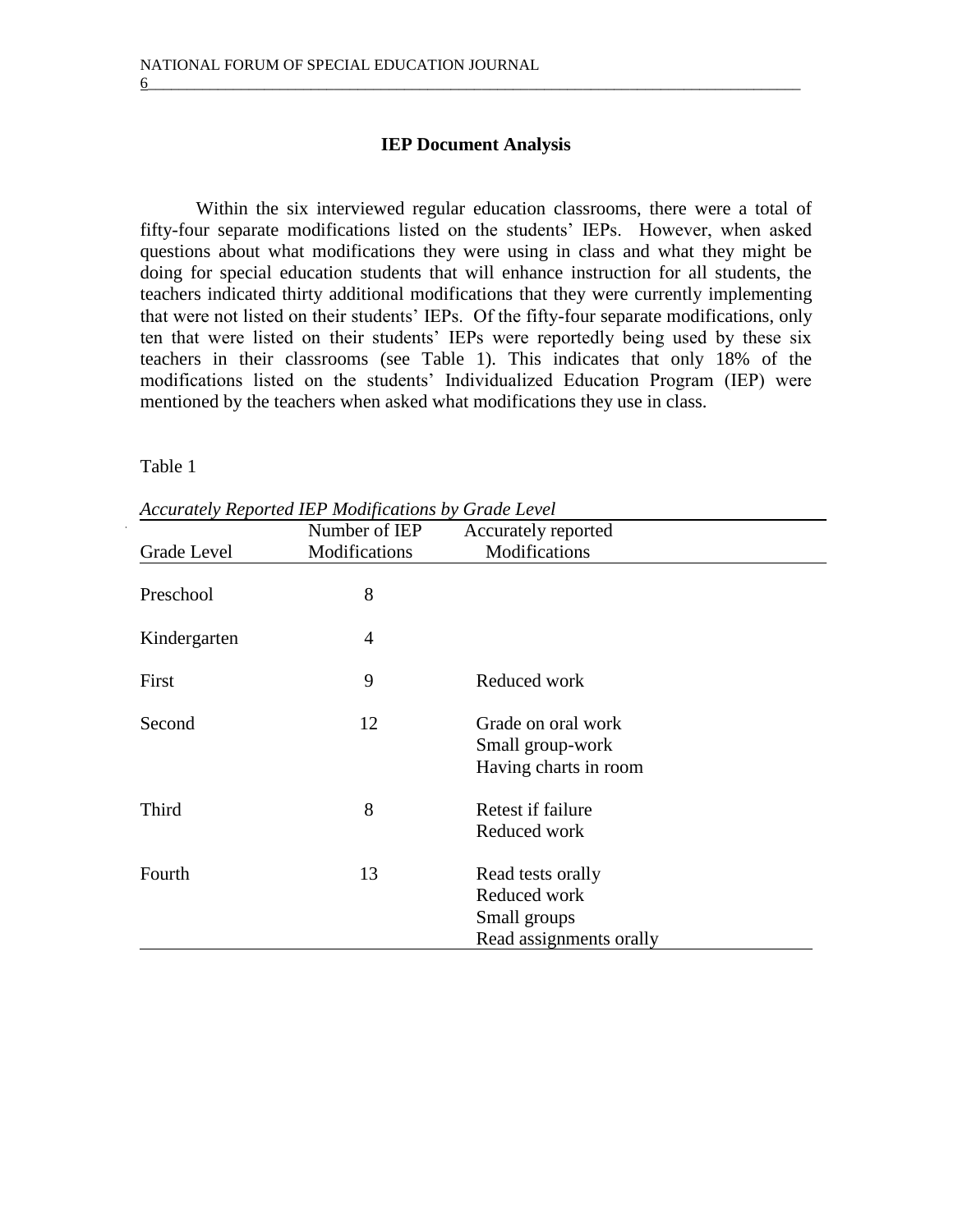### **IEP Document Analysis**

 $6$   $\overline{\phantom{a}}$ 

Within the six interviewed regular education classrooms, there were a total of fifty-four separate modifications listed on the students' IEPs. However, when asked questions about what modifications they were using in class and what they might be doing for special education students that will enhance instruction for all students, the teachers indicated thirty additional modifications that they were currently implementing that were not listed on their students' IEPs. Of the fifty-four separate modifications, only ten that were listed on their students' IEPs were reportedly being used by these six teachers in their classrooms (see Table 1). This indicates that only 18% of the modifications listed on the students' Individualized Education Program (IEP) were mentioned by the teachers when asked what modifications they use in class.

Table 1

|              | Number of IEP | Accurately reported                                                          |  |  |
|--------------|---------------|------------------------------------------------------------------------------|--|--|
| Grade Level  | Modifications | Modifications                                                                |  |  |
| Preschool    | 8             |                                                                              |  |  |
| Kindergarten | 4             |                                                                              |  |  |
| First        | 9             | Reduced work                                                                 |  |  |
| Second       | 12            | Grade on oral work<br>Small group-work<br>Having charts in room              |  |  |
| Third        | 8             | Retest if failure<br>Reduced work                                            |  |  |
| Fourth       | 13            | Read tests orally<br>Reduced work<br>Small groups<br>Read assignments orally |  |  |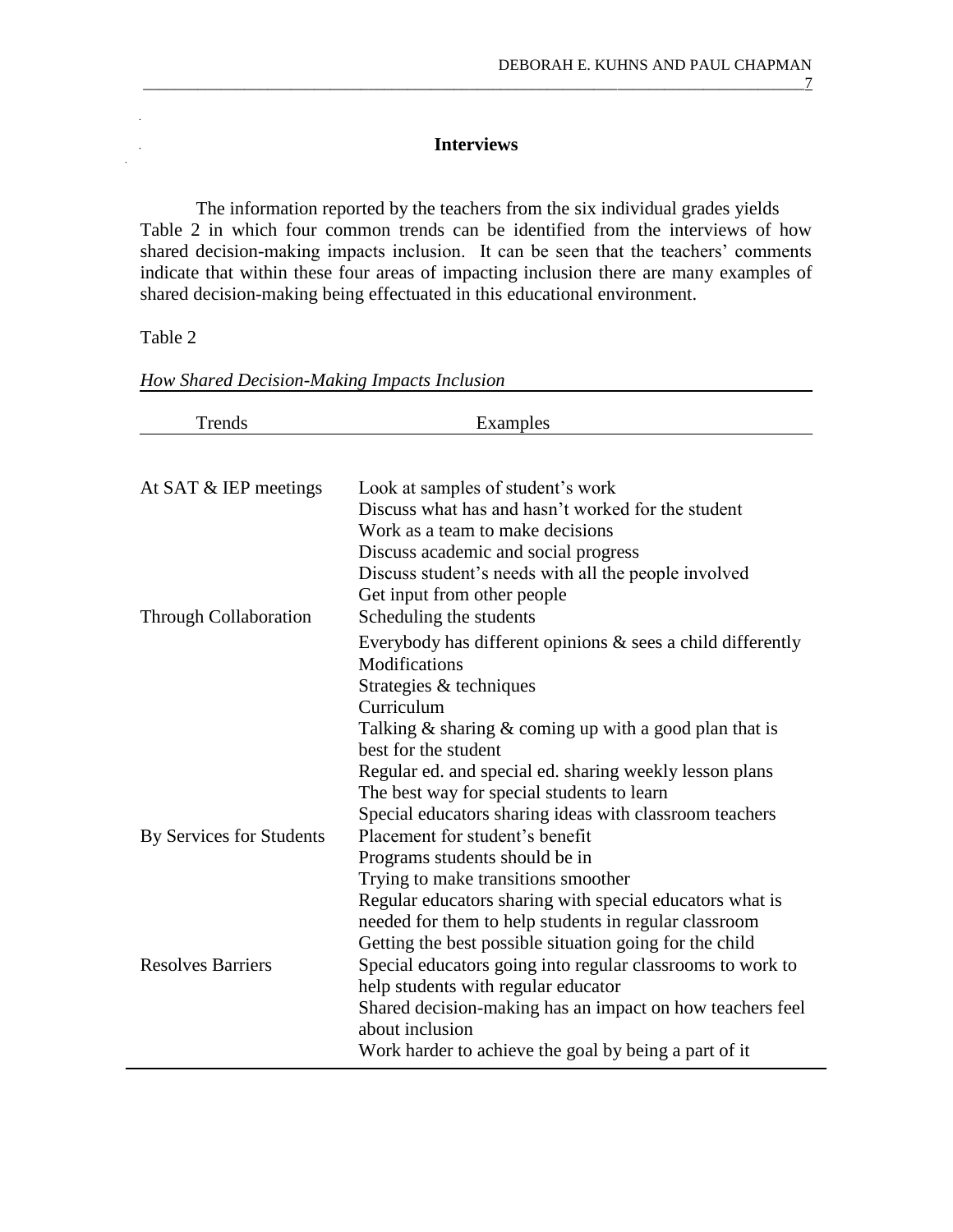\_\_\_\_\_\_\_\_\_\_\_\_\_\_\_\_\_\_\_\_\_\_\_\_\_\_\_\_\_\_\_\_\_\_\_\_\_\_\_\_\_\_\_\_\_\_\_\_\_\_\_\_\_\_\_\_\_\_\_\_\_\_\_\_\_\_\_\_\_\_\_\_\_\_\_\_\_\_\_\_\_\_\_\_\_7

# **Interviews**

The information reported by the teachers from the six individual grades yields Table 2 in which four common trends can be identified from the interviews of how shared decision-making impacts inclusion. It can be seen that the teachers' comments indicate that within these four areas of impacting inclusion there are many examples of shared decision-making being effectuated in this educational environment.

### Table 2

| Trends                       | Examples                                                                                                                                                                                                                                                                                                                                                                                                        |  |  |
|------------------------------|-----------------------------------------------------------------------------------------------------------------------------------------------------------------------------------------------------------------------------------------------------------------------------------------------------------------------------------------------------------------------------------------------------------------|--|--|
|                              |                                                                                                                                                                                                                                                                                                                                                                                                                 |  |  |
| At SAT $&$ IEP meetings      | Look at samples of student's work<br>Discuss what has and hasn't worked for the student<br>Work as a team to make decisions<br>Discuss academic and social progress<br>Discuss student's needs with all the people involved<br>Get input from other people                                                                                                                                                      |  |  |
| <b>Through Collaboration</b> | Scheduling the students<br>Everybody has different opinions $\&$ sees a child differently<br>Modifications<br>Strategies & techniques<br>Curriculum<br>Talking $\&$ sharing $\&$ coming up with a good plan that is<br>best for the student<br>Regular ed. and special ed. sharing weekly lesson plans<br>The best way for special students to learn<br>Special educators sharing ideas with classroom teachers |  |  |
| By Services for Students     | Placement for student's benefit<br>Programs students should be in<br>Trying to make transitions smoother<br>Regular educators sharing with special educators what is<br>needed for them to help students in regular classroom<br>Getting the best possible situation going for the child                                                                                                                        |  |  |
| <b>Resolves Barriers</b>     | Special educators going into regular classrooms to work to<br>help students with regular educator<br>Shared decision-making has an impact on how teachers feel<br>about inclusion<br>Work harder to achieve the goal by being a part of it                                                                                                                                                                      |  |  |

*How Shared Decision-Making Impacts Inclusion*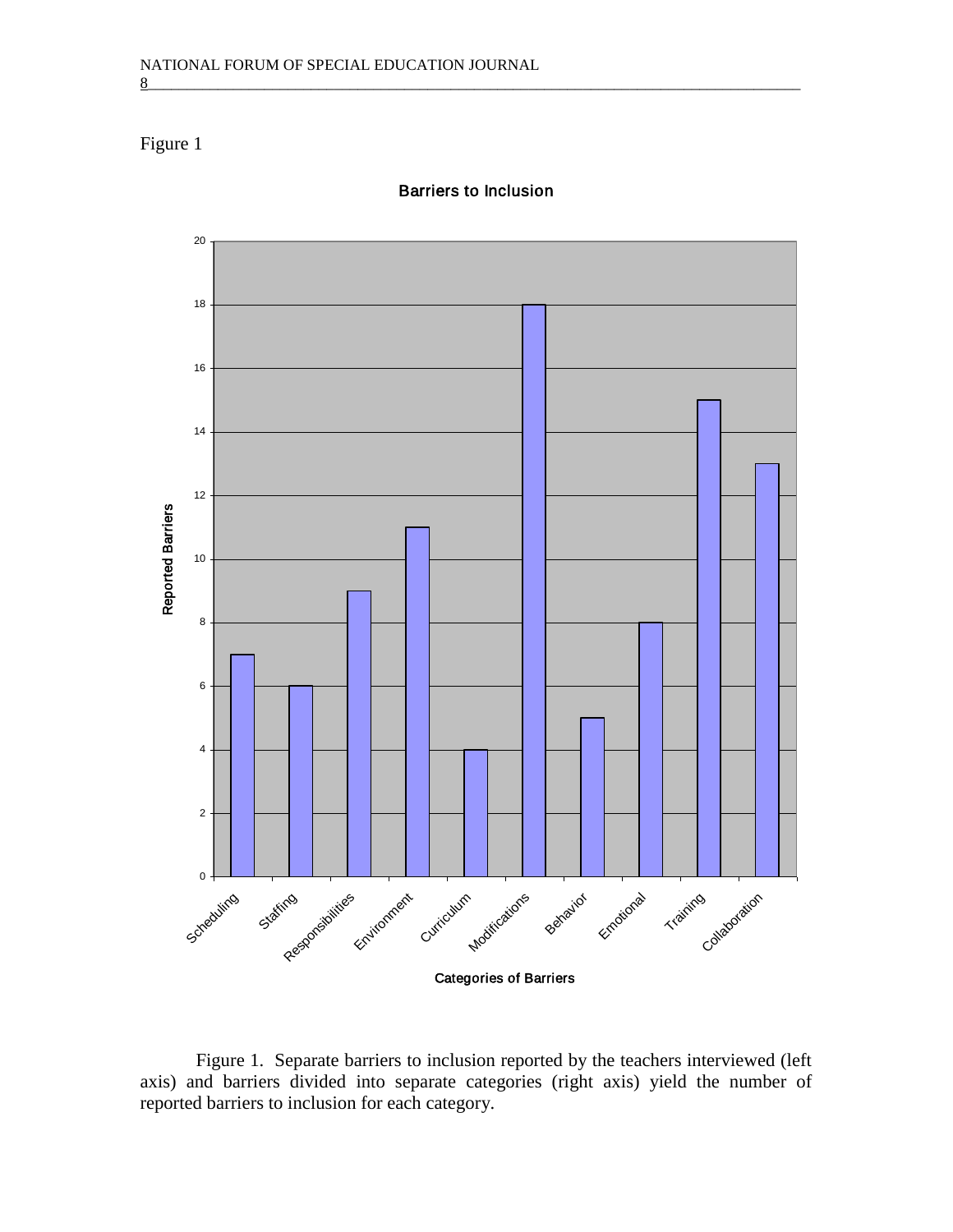# Figure 1



*Barriers to Inclusion*

 $8$   $\,$ 

Figure 1. Separate barriers to inclusion reported by the teachers interviewed (left axis) and barriers divided into separate categories (right axis) yield the number of reported barriers to inclusion for each category.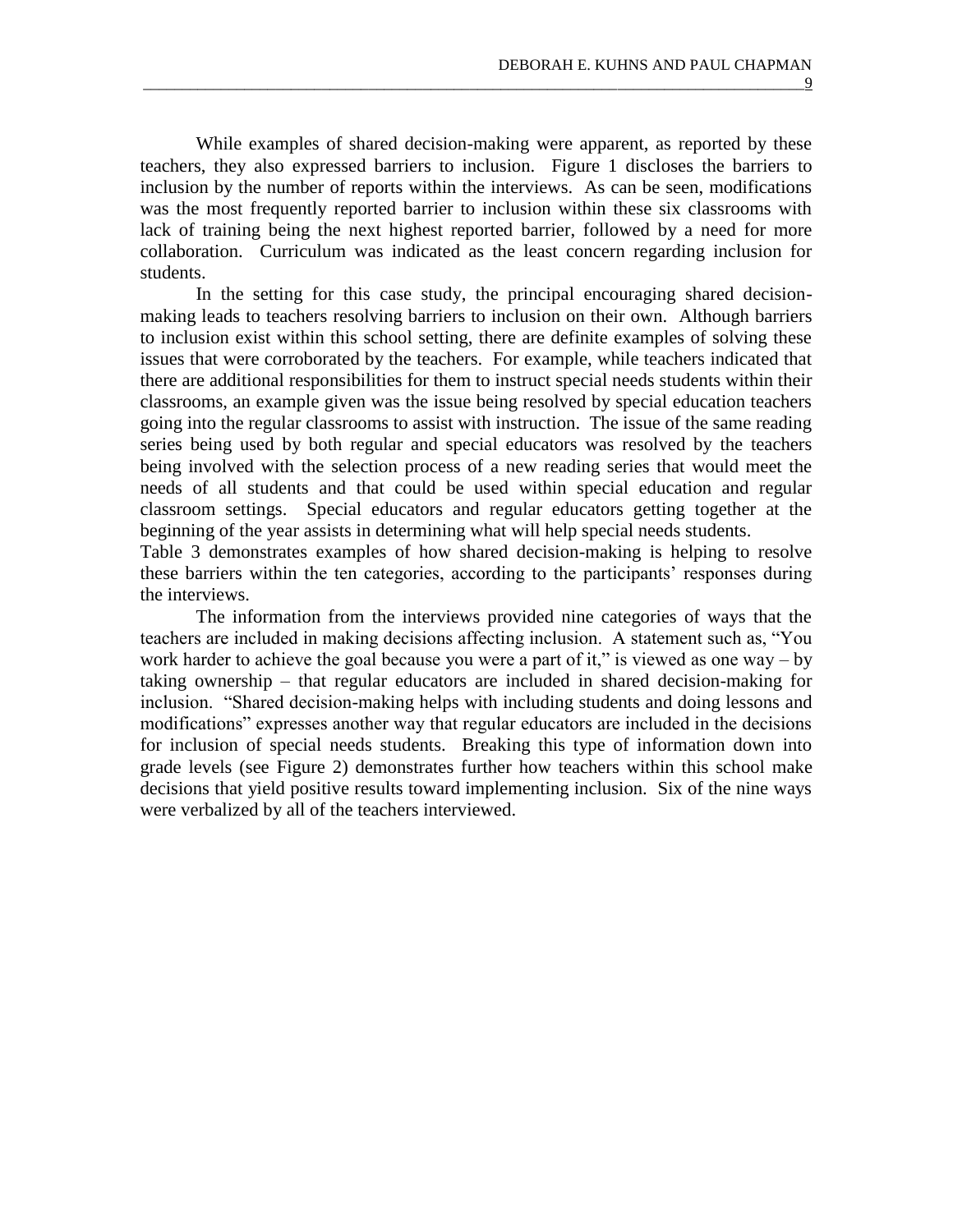While examples of shared decision-making were apparent, as reported by these teachers, they also expressed barriers to inclusion. Figure 1 discloses the barriers to inclusion by the number of reports within the interviews. As can be seen, modifications was the most frequently reported barrier to inclusion within these six classrooms with lack of training being the next highest reported barrier, followed by a need for more collaboration. Curriculum was indicated as the least concern regarding inclusion for students.

\_\_\_\_\_\_\_\_\_\_\_\_\_\_\_\_\_\_\_\_\_\_\_\_\_\_\_\_\_\_\_\_\_\_\_\_\_\_\_\_\_\_\_\_\_\_\_\_\_\_\_\_\_\_\_\_\_\_\_\_\_\_\_\_\_\_\_\_\_\_\_\_\_\_\_\_\_\_\_\_\_\_\_\_\_9

In the setting for this case study, the principal encouraging shared decisionmaking leads to teachers resolving barriers to inclusion on their own. Although barriers to inclusion exist within this school setting, there are definite examples of solving these issues that were corroborated by the teachers. For example, while teachers indicated that there are additional responsibilities for them to instruct special needs students within their classrooms, an example given was the issue being resolved by special education teachers going into the regular classrooms to assist with instruction. The issue of the same reading series being used by both regular and special educators was resolved by the teachers being involved with the selection process of a new reading series that would meet the needs of all students and that could be used within special education and regular classroom settings. Special educators and regular educators getting together at the beginning of the year assists in determining what will help special needs students.

Table 3 demonstrates examples of how shared decision-making is helping to resolve these barriers within the ten categories, according to the participants' responses during the interviews.

The information from the interviews provided nine categories of ways that the teachers are included in making decisions affecting inclusion. A statement such as, "You work harder to achieve the goal because you were a part of it," is viewed as one way – by taking ownership – that regular educators are included in shared decision-making for inclusion. "Shared decision-making helps with including students and doing lessons and modifications" expresses another way that regular educators are included in the decisions for inclusion of special needs students. Breaking this type of information down into grade levels (see Figure 2) demonstrates further how teachers within this school make decisions that yield positive results toward implementing inclusion. Six of the nine ways were verbalized by all of the teachers interviewed.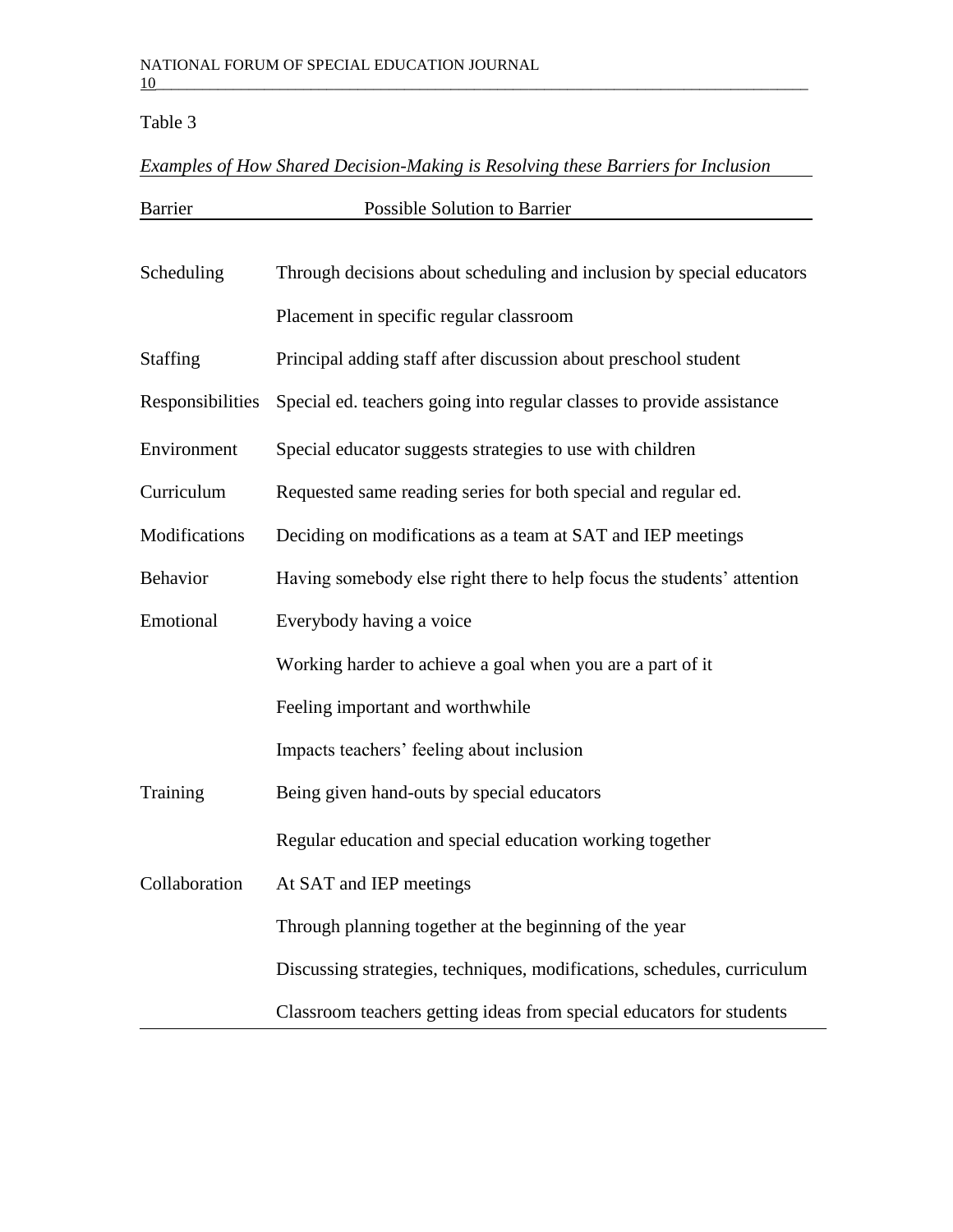# Table 3

# *Examples of How Shared Decision-Making is Resolving these Barriers for Inclusion*

| <b>Barrier</b>   | Possible Solution to Barrier                                            |  |  |  |  |
|------------------|-------------------------------------------------------------------------|--|--|--|--|
|                  |                                                                         |  |  |  |  |
| Scheduling       | Through decisions about scheduling and inclusion by special educators   |  |  |  |  |
|                  | Placement in specific regular classroom                                 |  |  |  |  |
| <b>Staffing</b>  | Principal adding staff after discussion about preschool student         |  |  |  |  |
| Responsibilities | Special ed. teachers going into regular classes to provide assistance   |  |  |  |  |
| Environment      | Special educator suggests strategies to use with children               |  |  |  |  |
| Curriculum       | Requested same reading series for both special and regular ed.          |  |  |  |  |
| Modifications    | Deciding on modifications as a team at SAT and IEP meetings             |  |  |  |  |
| Behavior         | Having somebody else right there to help focus the students' attention  |  |  |  |  |
| Emotional        | Everybody having a voice                                                |  |  |  |  |
|                  | Working harder to achieve a goal when you are a part of it              |  |  |  |  |
|                  | Feeling important and worthwhile                                        |  |  |  |  |
|                  | Impacts teachers' feeling about inclusion                               |  |  |  |  |
| Training         | Being given hand-outs by special educators                              |  |  |  |  |
|                  | Regular education and special education working together                |  |  |  |  |
| Collaboration    | At SAT and IEP meetings                                                 |  |  |  |  |
|                  | Through planning together at the beginning of the year                  |  |  |  |  |
|                  | Discussing strategies, techniques, modifications, schedules, curriculum |  |  |  |  |
|                  | Classroom teachers getting ideas from special educators for students    |  |  |  |  |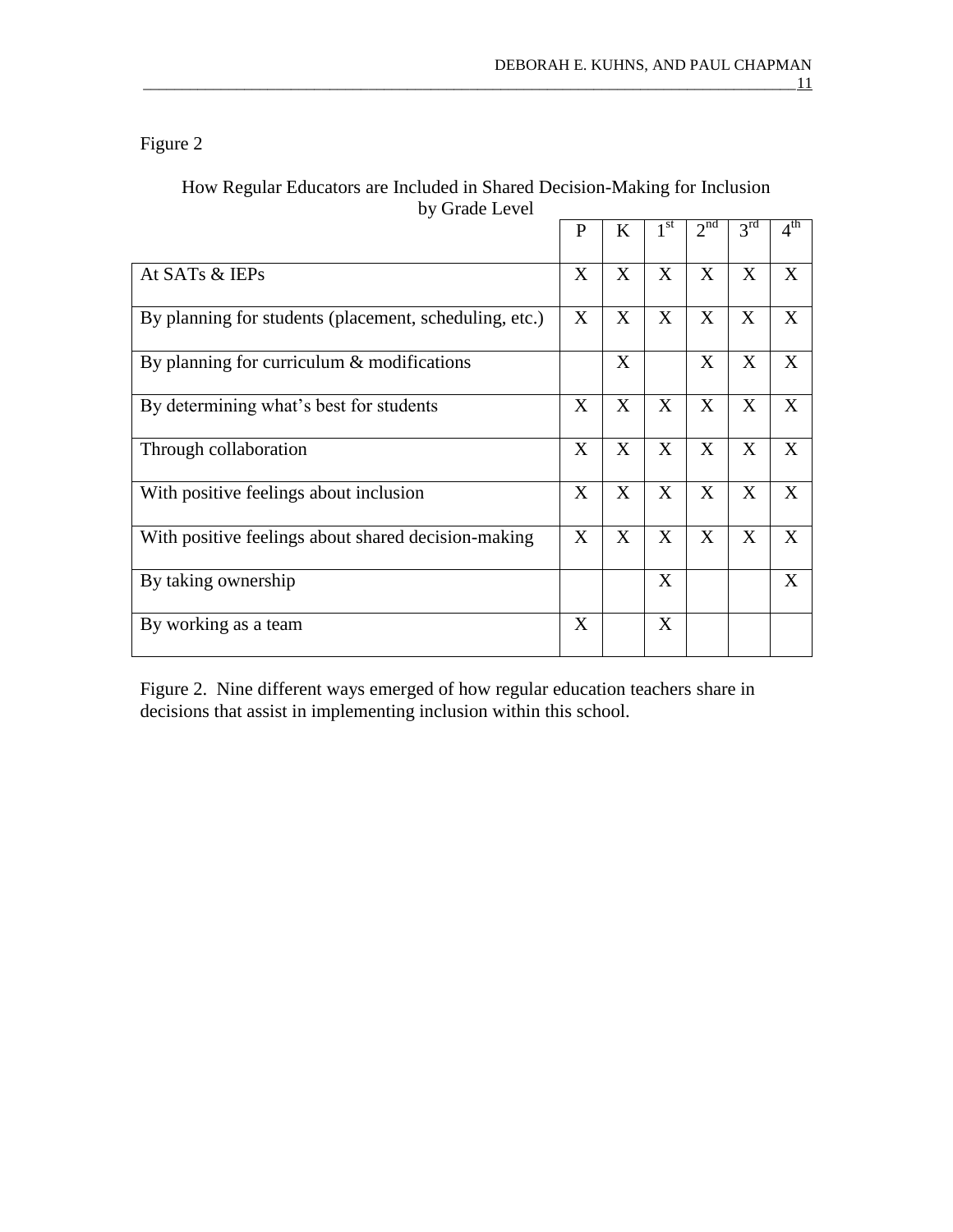# Figure 2

# How Regular Educators are Included in Shared Decision-Making for Inclusion by Grade Level

|                                                        | $\mathbf{P}$ | K | 1 <sup>st</sup> | 2 <sup>nd</sup> | 3 <sup>rd</sup> | $4^{\text{th}}$ |
|--------------------------------------------------------|--------------|---|-----------------|-----------------|-----------------|-----------------|
| At SATs & IEPs                                         |              | X | X               | X               | X               | X               |
| By planning for students (placement, scheduling, etc.) |              | X | X               | X               | X               | X               |
| By planning for curriculum $\&$ modifications          |              | X |                 | X               | X               | X               |
| By determining what's best for students                |              | X | X               | X               | X               | X               |
| Through collaboration                                  |              | X | X               | X               | X               | X               |
| With positive feelings about inclusion                 |              | X | X               | X               | X               | X               |
| With positive feelings about shared decision-making    |              | X | X               | X               | X               | X               |
| By taking ownership                                    |              |   | X               |                 |                 | X               |
| By working as a team                                   | X            |   | X               |                 |                 |                 |

Figure 2. Nine different ways emerged of how regular education teachers share in decisions that assist in implementing inclusion within this school.

\_\_\_\_\_\_\_\_\_\_\_\_\_\_\_\_\_\_\_\_\_\_\_\_\_\_\_\_\_\_\_\_\_\_\_\_\_\_\_\_\_\_\_\_\_\_\_\_\_\_\_\_\_\_\_\_\_\_\_\_\_\_\_\_\_\_\_\_\_\_\_\_\_\_\_\_\_\_\_\_\_\_\_\_11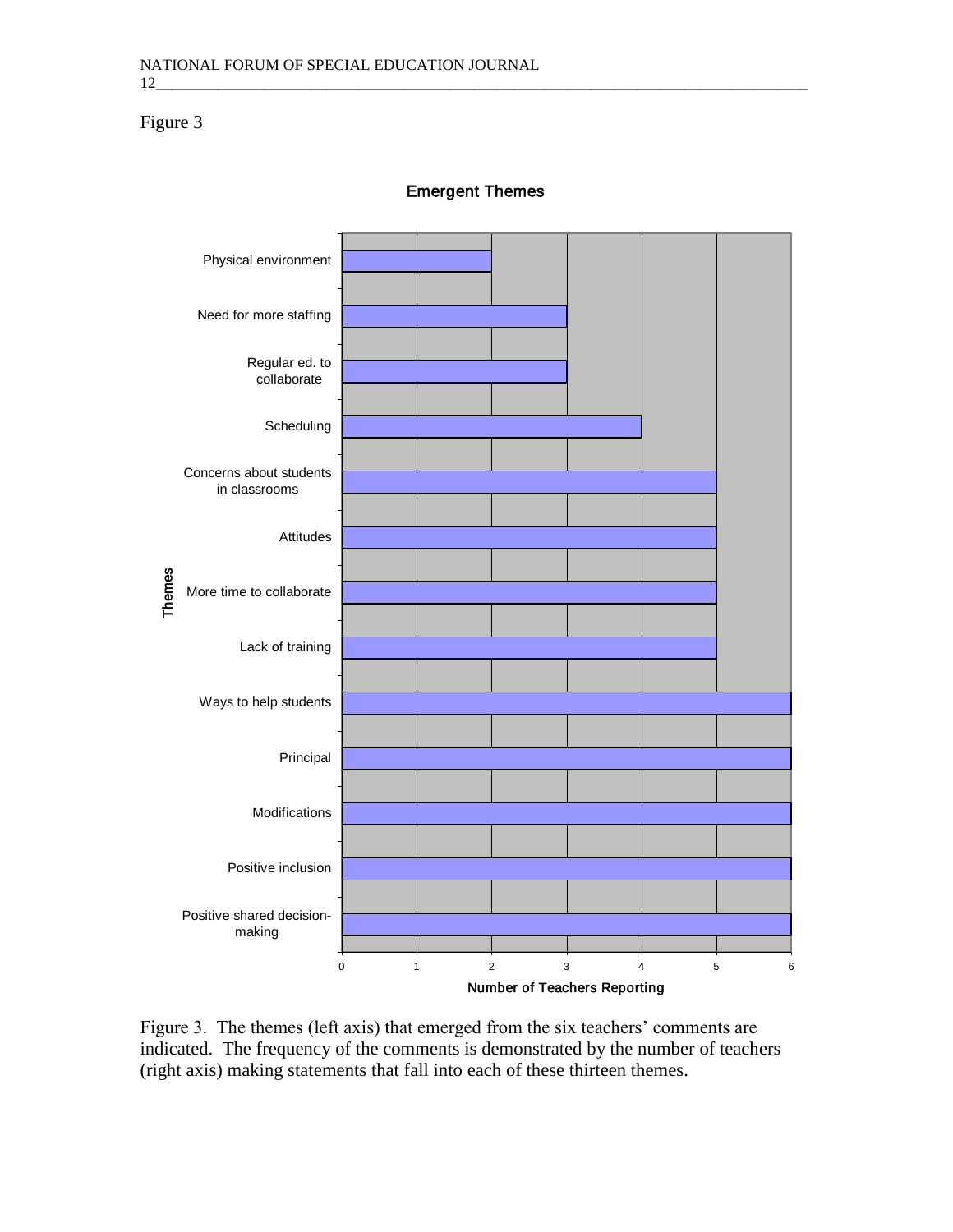Figure 3



*Emergent Themes*

Figure 3. The themes (left axis) that emerged from the six teachers' comments are indicated. The frequency of the comments is demonstrated by the number of teachers (right axis) making statements that fall into each of these thirteen themes.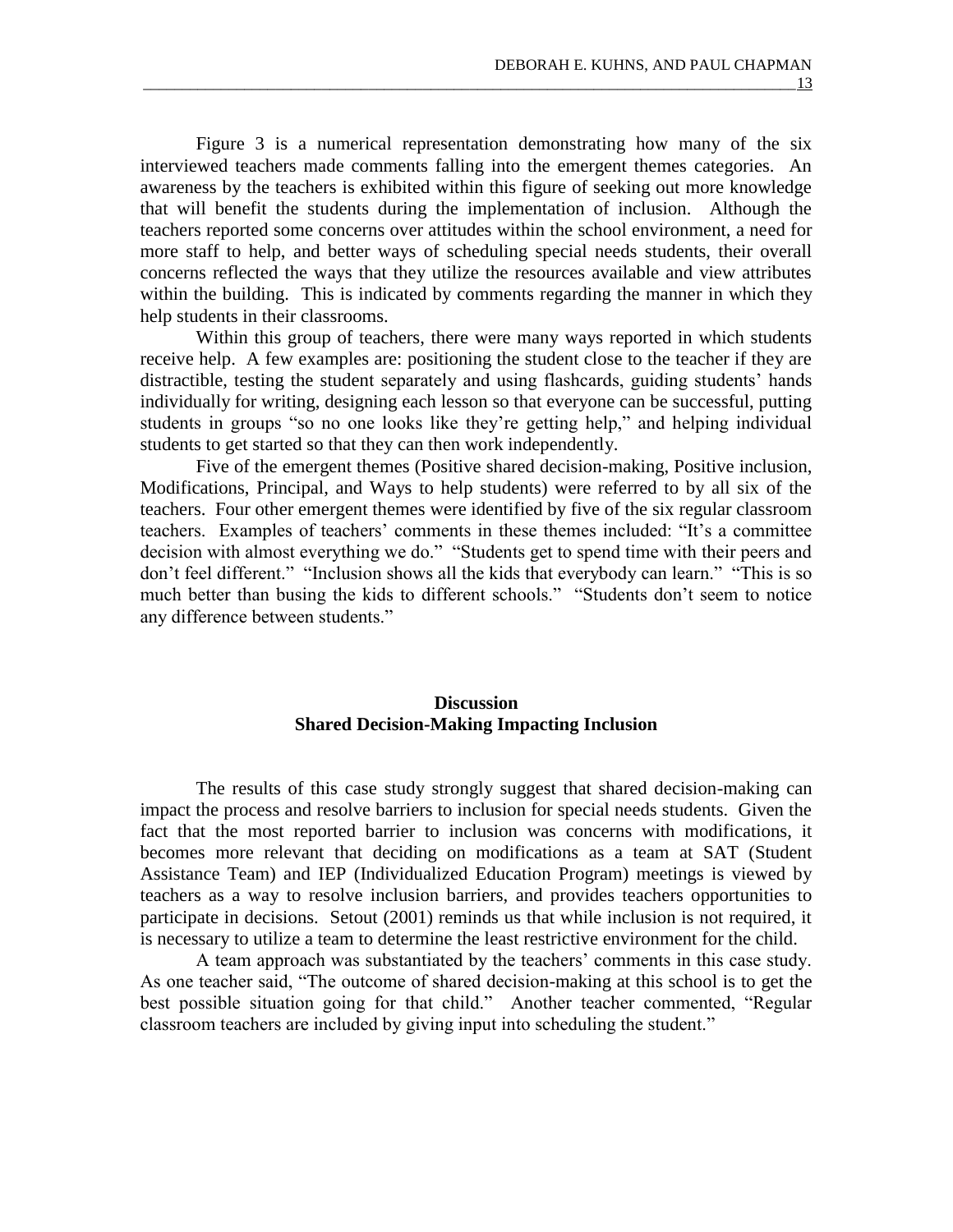Figure 3 is a numerical representation demonstrating how many of the six interviewed teachers made comments falling into the emergent themes categories. An awareness by the teachers is exhibited within this figure of seeking out more knowledge that will benefit the students during the implementation of inclusion. Although the teachers reported some concerns over attitudes within the school environment, a need for more staff to help, and better ways of scheduling special needs students, their overall concerns reflected the ways that they utilize the resources available and view attributes within the building. This is indicated by comments regarding the manner in which they help students in their classrooms.

Within this group of teachers, there were many ways reported in which students receive help. A few examples are: positioning the student close to the teacher if they are distractible, testing the student separately and using flashcards, guiding students' hands individually for writing, designing each lesson so that everyone can be successful, putting students in groups "so no one looks like they're getting help," and helping individual students to get started so that they can then work independently.

Five of the emergent themes (Positive shared decision-making, Positive inclusion, Modifications, Principal, and Ways to help students) were referred to by all six of the teachers. Four other emergent themes were identified by five of the six regular classroom teachers. Examples of teachers' comments in these themes included: "It's a committee decision with almost everything we do." "Students get to spend time with their peers and don't feel different." "Inclusion shows all the kids that everybody can learn." "This is so much better than busing the kids to different schools." "Students don't seem to notice any difference between students."

## **Discussion Shared Decision-Making Impacting Inclusion**

The results of this case study strongly suggest that shared decision-making can impact the process and resolve barriers to inclusion for special needs students. Given the fact that the most reported barrier to inclusion was concerns with modifications, it becomes more relevant that deciding on modifications as a team at SAT (Student Assistance Team) and IEP (Individualized Education Program) meetings is viewed by teachers as a way to resolve inclusion barriers, and provides teachers opportunities to participate in decisions. Setout (2001) reminds us that while inclusion is not required, it is necessary to utilize a team to determine the least restrictive environment for the child.

A team approach was substantiated by the teachers' comments in this case study. As one teacher said, "The outcome of shared decision-making at this school is to get the best possible situation going for that child." Another teacher commented, "Regular classroom teachers are included by giving input into scheduling the student."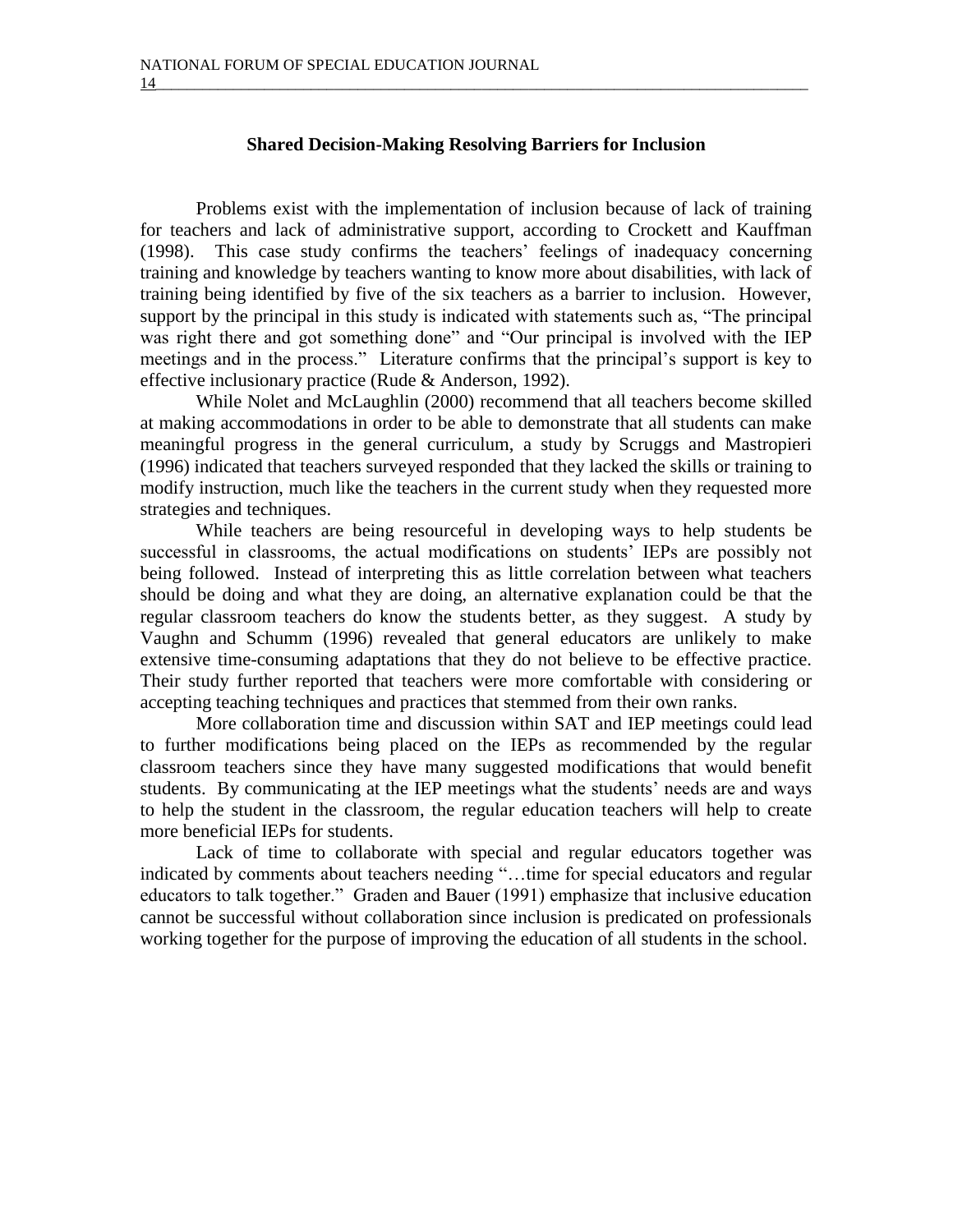### **Shared Decision-Making Resolving Barriers for Inclusion**

Problems exist with the implementation of inclusion because of lack of training for teachers and lack of administrative support, according to Crockett and Kauffman (1998). This case study confirms the teachers' feelings of inadequacy concerning training and knowledge by teachers wanting to know more about disabilities, with lack of training being identified by five of the six teachers as a barrier to inclusion. However, support by the principal in this study is indicated with statements such as, "The principal was right there and got something done" and "Our principal is involved with the IEP meetings and in the process." Literature confirms that the principal's support is key to effective inclusionary practice (Rude & Anderson, 1992).

While Nolet and McLaughlin (2000) recommend that all teachers become skilled at making accommodations in order to be able to demonstrate that all students can make meaningful progress in the general curriculum, a study by Scruggs and Mastropieri (1996) indicated that teachers surveyed responded that they lacked the skills or training to modify instruction, much like the teachers in the current study when they requested more strategies and techniques.

While teachers are being resourceful in developing ways to help students be successful in classrooms, the actual modifications on students' IEPs are possibly not being followed. Instead of interpreting this as little correlation between what teachers should be doing and what they are doing, an alternative explanation could be that the regular classroom teachers do know the students better, as they suggest. A study by Vaughn and Schumm (1996) revealed that general educators are unlikely to make extensive time-consuming adaptations that they do not believe to be effective practice. Their study further reported that teachers were more comfortable with considering or accepting teaching techniques and practices that stemmed from their own ranks.

More collaboration time and discussion within SAT and IEP meetings could lead to further modifications being placed on the IEPs as recommended by the regular classroom teachers since they have many suggested modifications that would benefit students. By communicating at the IEP meetings what the students' needs are and ways to help the student in the classroom, the regular education teachers will help to create more beneficial IEPs for students.

Lack of time to collaborate with special and regular educators together was indicated by comments about teachers needing "…time for special educators and regular educators to talk together." Graden and Bauer (1991) emphasize that inclusive education cannot be successful without collaboration since inclusion is predicated on professionals working together for the purpose of improving the education of all students in the school.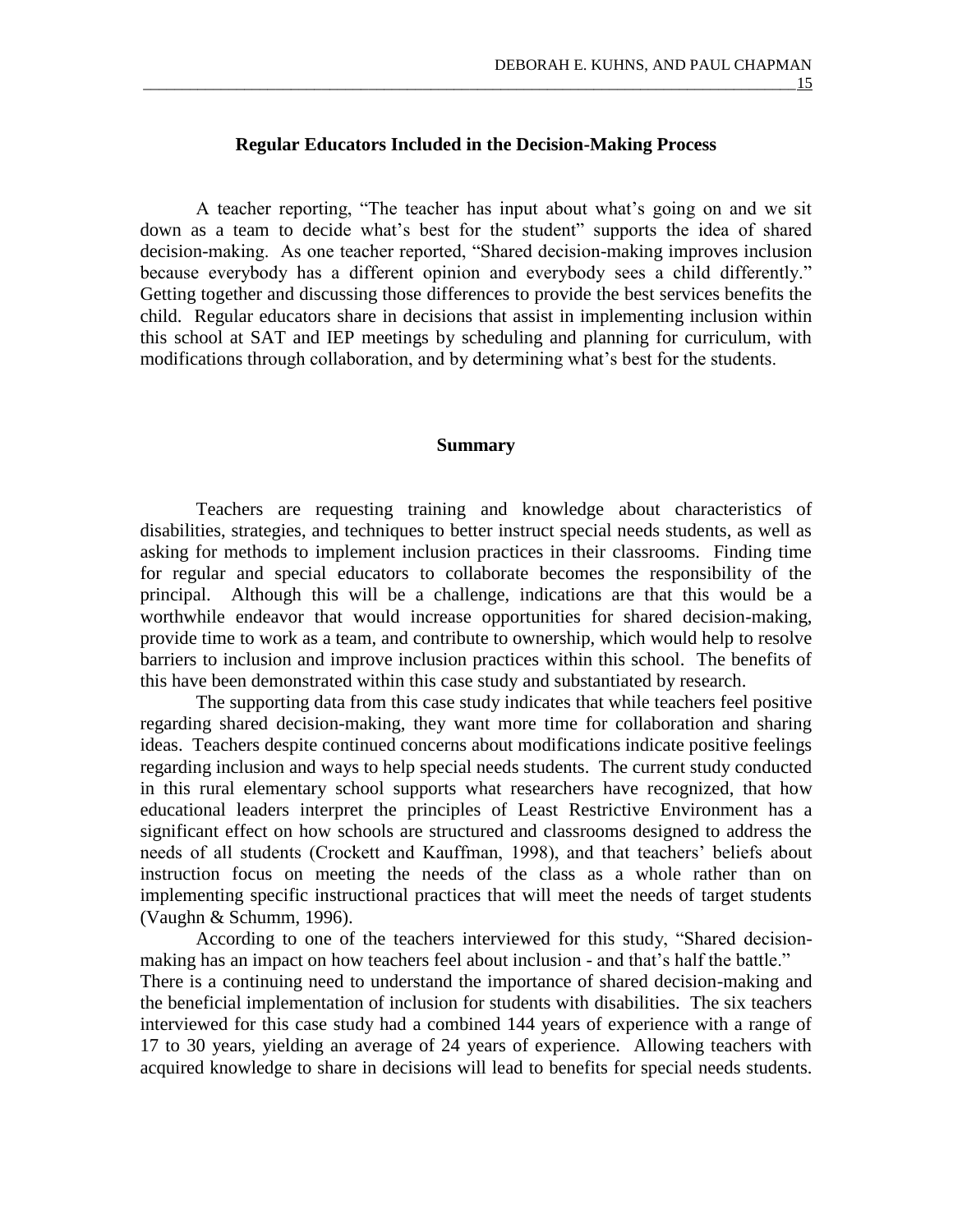### **Regular Educators Included in the Decision-Making Process**

A teacher reporting, "The teacher has input about what's going on and we sit down as a team to decide what's best for the student" supports the idea of shared decision-making. As one teacher reported, "Shared decision-making improves inclusion because everybody has a different opinion and everybody sees a child differently." Getting together and discussing those differences to provide the best services benefits the child. Regular educators share in decisions that assist in implementing inclusion within this school at SAT and IEP meetings by scheduling and planning for curriculum, with modifications through collaboration, and by determining what's best for the students.

#### **Summary**

Teachers are requesting training and knowledge about characteristics of disabilities, strategies, and techniques to better instruct special needs students, as well as asking for methods to implement inclusion practices in their classrooms. Finding time for regular and special educators to collaborate becomes the responsibility of the principal. Although this will be a challenge, indications are that this would be a worthwhile endeavor that would increase opportunities for shared decision-making, provide time to work as a team, and contribute to ownership, which would help to resolve barriers to inclusion and improve inclusion practices within this school. The benefits of this have been demonstrated within this case study and substantiated by research.

The supporting data from this case study indicates that while teachers feel positive regarding shared decision-making, they want more time for collaboration and sharing ideas. Teachers despite continued concerns about modifications indicate positive feelings regarding inclusion and ways to help special needs students. The current study conducted in this rural elementary school supports what researchers have recognized, that how educational leaders interpret the principles of Least Restrictive Environment has a significant effect on how schools are structured and classrooms designed to address the needs of all students (Crockett and Kauffman, 1998), and that teachers' beliefs about instruction focus on meeting the needs of the class as a whole rather than on implementing specific instructional practices that will meet the needs of target students (Vaughn & Schumm, 1996).

According to one of the teachers interviewed for this study, "Shared decisionmaking has an impact on how teachers feel about inclusion - and that's half the battle." There is a continuing need to understand the importance of shared decision-making and the beneficial implementation of inclusion for students with disabilities. The six teachers interviewed for this case study had a combined 144 years of experience with a range of 17 to 30 years, yielding an average of 24 years of experience. Allowing teachers with acquired knowledge to share in decisions will lead to benefits for special needs students.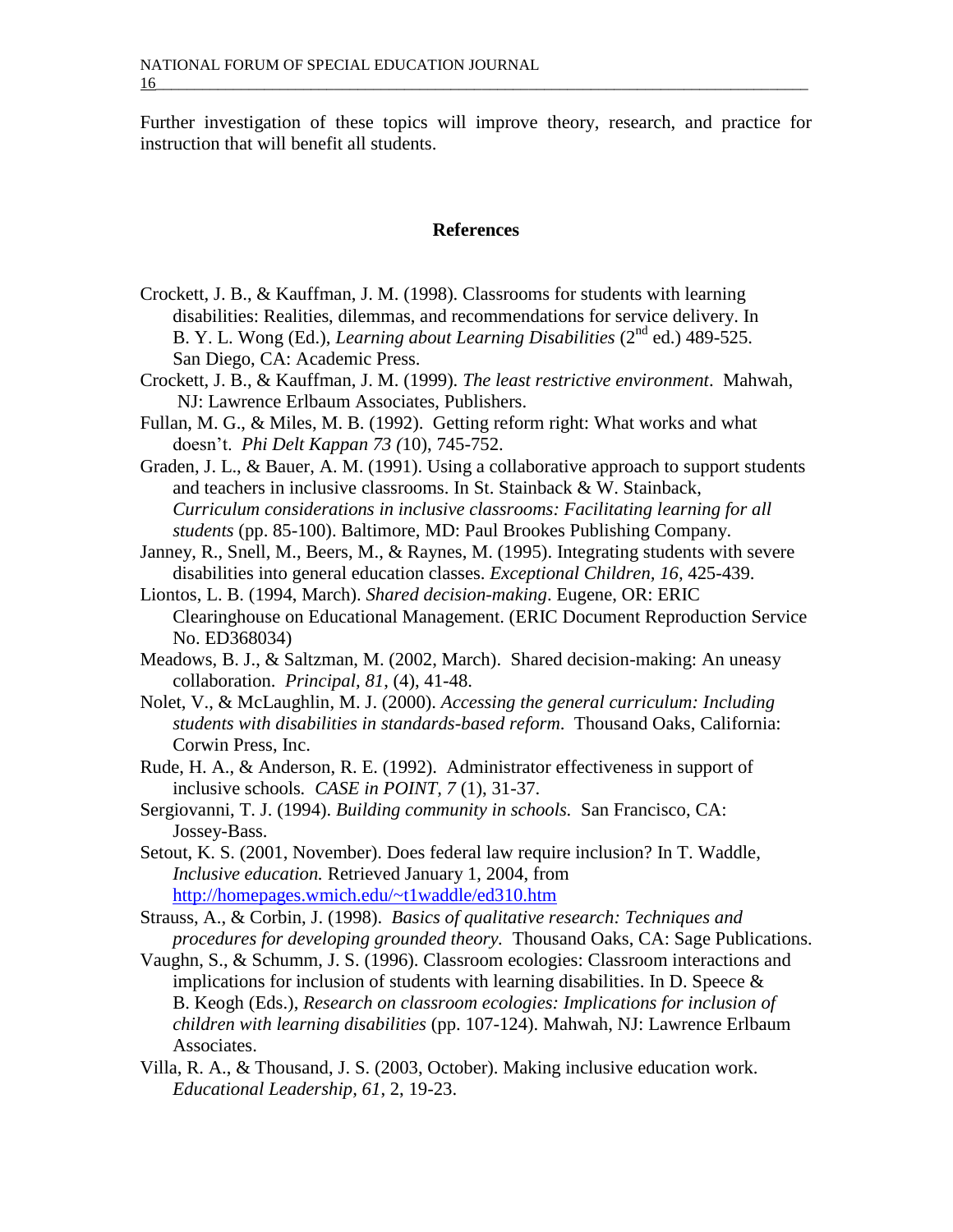Further investigation of these topics will improve theory, research, and practice for instruction that will benefit all students.

### **References**

- Crockett, J. B., & Kauffman, J. M. (1998). Classrooms for students with learning disabilities: Realities, dilemmas, and recommendations for service delivery. In B. Y. L. Wong (Ed.), *Learning about Learning Disabilities* (2nd ed.) 489-525. San Diego, CA: Academic Press.
- Crockett, J. B., & Kauffman, J. M. (1999). *The least restrictive environment*. Mahwah, NJ: Lawrence Erlbaum Associates, Publishers.
- Fullan, M. G., & Miles, M. B. (1992). Getting reform right: What works and what doesn't. *Phi Delt Kappan 73 (*10), 745-752.
- Graden, J. L., & Bauer, A. M. (1991). Using a collaborative approach to support students and teachers in inclusive classrooms. In St. Stainback & W. Stainback, *Curriculum considerations in inclusive classrooms: Facilitating learning for all students* (pp. 85-100). Baltimore, MD: Paul Brookes Publishing Company.
- Janney, R., Snell, M., Beers, M., & Raynes, M. (1995). Integrating students with severe disabilities into general education classes. *Exceptional Children, 16,* 425-439.
- Liontos, L. B. (1994, March). *Shared decision-making*. Eugene, OR: ERIC Clearinghouse on Educational Management. (ERIC Document Reproduction Service No. ED368034)
- Meadows, B. J., & Saltzman, M. (2002, March). Shared decision-making: An uneasy collaboration. *Principal, 81*, (4), 41-48.
- Nolet, V., & McLaughlin, M. J. (2000). *Accessing the general curriculum: Including students with disabilities in standards-based reform*. Thousand Oaks, California: Corwin Press, Inc.
- Rude, H. A., & Anderson, R. E. (1992). Administrator effectiveness in support of inclusive schools*. CASE in POINT, 7* (1), 31-37.
- Sergiovanni, T. J. (1994). *Building community in schools.* San Francisco, CA: Jossey-Bass.
- Setout, K. S. (2001, November). Does federal law require inclusion? In T. Waddle, *Inclusive education.* Retrieved January 1, 2004, from <http://homepages.wmich.edu/~t1waddle/ed310.htm>
- Strauss, A., & Corbin, J. (1998). *Basics of qualitative research: Techniques and procedures for developing grounded theory.* Thousand Oaks, CA: Sage Publications.
- Vaughn, S., & Schumm, J. S. (1996). Classroom ecologies: Classroom interactions and implications for inclusion of students with learning disabilities. In D. Speece  $\&$  B. Keogh (Eds.), *Research on classroom ecologies: Implications for inclusion of children with learning disabilities* (pp. 107-124). Mahwah, NJ: Lawrence Erlbaum Associates.
- Villa, R. A., & Thousand, J. S. (2003, October). Making inclusive education work. *Educational Leadership, 61*, 2, 19-23.